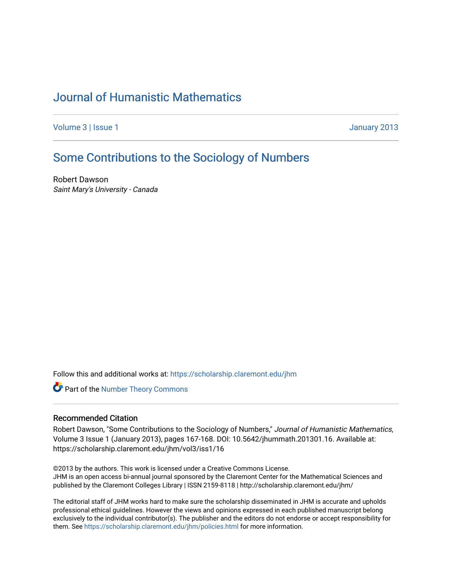## [Journal of Humanistic Mathematics](https://scholarship.claremont.edu/jhm)

[Volume 3](https://scholarship.claremont.edu/jhm/vol3) | [Issue 1](https://scholarship.claremont.edu/jhm/vol3/iss1) January 2013

## [Some Contributions to the Sociology of Numbers](https://scholarship.claremont.edu/jhm/vol3/iss1/16)

Robert Dawson Saint Mary's University - Canada

Follow this and additional works at: [https://scholarship.claremont.edu/jhm](https://scholarship.claremont.edu/jhm?utm_source=scholarship.claremont.edu%2Fjhm%2Fvol3%2Fiss1%2F16&utm_medium=PDF&utm_campaign=PDFCoverPages)

Part of the [Number Theory Commons](http://network.bepress.com/hgg/discipline/183?utm_source=scholarship.claremont.edu%2Fjhm%2Fvol3%2Fiss1%2F16&utm_medium=PDF&utm_campaign=PDFCoverPages) 

## Recommended Citation

Robert Dawson, "Some Contributions to the Sociology of Numbers," Journal of Humanistic Mathematics, Volume 3 Issue 1 (January 2013), pages 167-168. DOI: 10.5642/jhummath.201301.16. Available at: https://scholarship.claremont.edu/jhm/vol3/iss1/16

©2013 by the authors. This work is licensed under a Creative Commons License. JHM is an open access bi-annual journal sponsored by the Claremont Center for the Mathematical Sciences and published by the Claremont Colleges Library | ISSN 2159-8118 | http://scholarship.claremont.edu/jhm/

The editorial staff of JHM works hard to make sure the scholarship disseminated in JHM is accurate and upholds professional ethical guidelines. However the views and opinions expressed in each published manuscript belong exclusively to the individual contributor(s). The publisher and the editors do not endorse or accept responsibility for them. See<https://scholarship.claremont.edu/jhm/policies.html> for more information.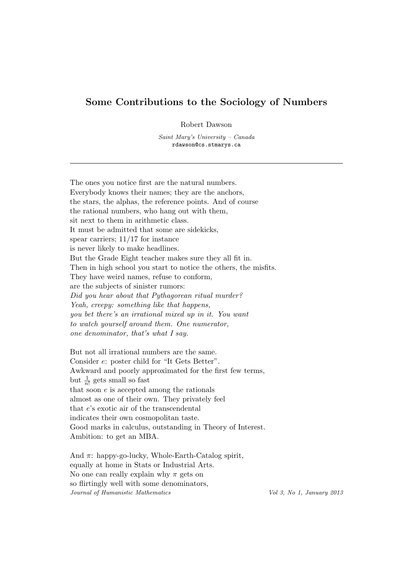## Some Contributions to the Sociology of Numbers

Robert Dawson

Saint Mary's University – Canada rdawson@cs.stmarys.ca

The ones you notice first are the natural numbers. Everybody knows their names; they are the anchors, the stars, the alphas, the reference points. And of course the rational numbers, who hang out with them, sit next to them in arithmetic class. It must be admitted that some are sidekicks, spear carriers; 11/17 for instance is never likely to make headlines. But the Grade Eight teacher makes sure they all fit in. Then in high school you start to notice the others, the misfits. They have weird names, refuse to conform, are the subjects of sinister rumors: Did you hear about that Pythagorean ritual murder? Yeah, creepy: something like that happens, you bet there's an irrational mixed up in it. You want to watch yourself around them. One numerator, one denominator, that's what I say.

But not all irrational numbers are the same. Consider e: poster child for "It Gets Better". Awkward and poorly approximated for the first few terms, but  $\frac{1}{n!}$  gets small so fast that soon  $e$  is accepted among the rationals almost as one of their own. They privately feel that e's exotic air of the transcendental indicates their own cosmopolitan taste. Good marks in calculus, outstanding in Theory of Interest. Ambition: to get an MBA.

And  $\pi$ : happy-go-lucky, Whole-Earth-Catalog spirit, equally at home in Stats or Industrial Arts. No one can really explain why  $\pi$  gets on so flirtingly well with some denominators, Journal of Humanistic Mathematics Vol 3, No 1, January 2013